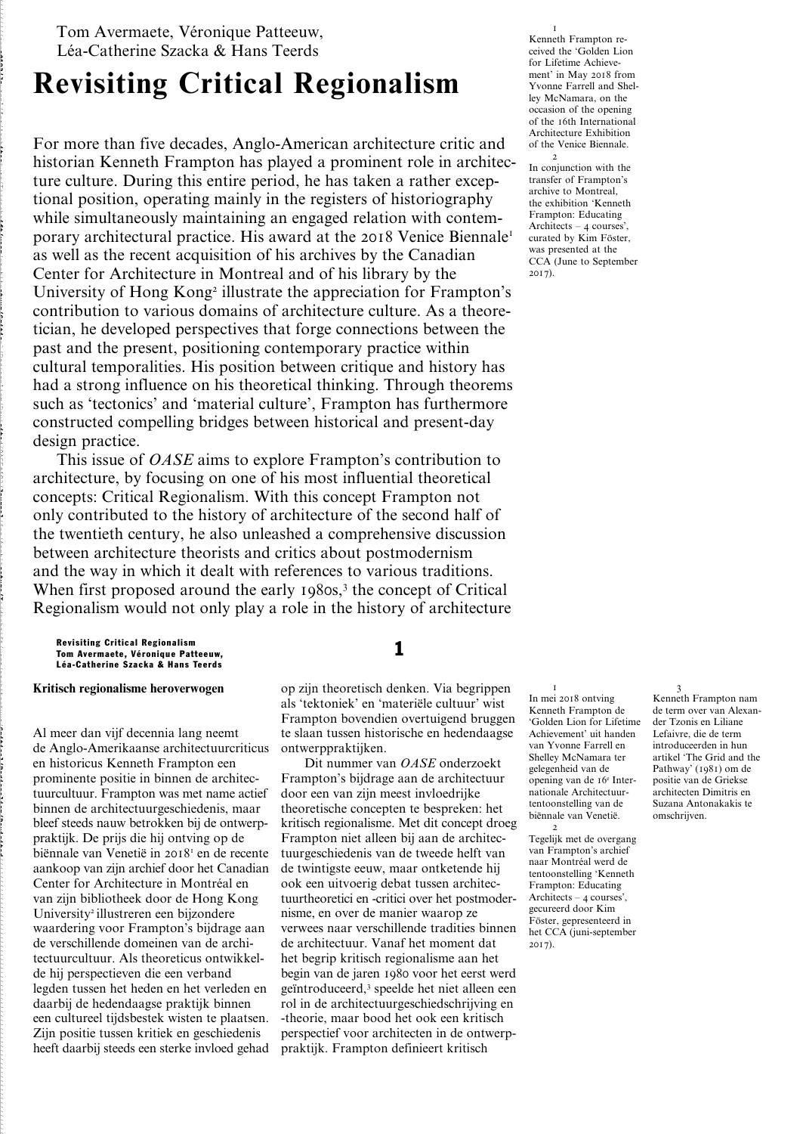Tom Avermaete, Véronique Patteeuw, Léa-Catherine Szacka & Hans Teerds

# **Revisiting Critical Regionalism**

For more than five decades, Anglo-American architecture critic and historian Kenneth Frampton has played a prominent role in architecture culture. During this entire period, he has taken a rather exceptional position, operating mainly in the registers of historiography while simultaneously maintaining an engaged relation with contemporary architectural practice. His award at the 2018 Venice Biennale<sup>1</sup> as well as the recent acquisition of his archives by the Canadian Center for Architecture in Montreal and of his library by the University of Hong Kong<sup>2</sup> illustrate the appreciation for Frampton's contribution to various domains of architecture culture. As a theoretician, he developed perspectives that forge connections between the past and the present, positioning contemporary practice within cultural temporalities. His position between critique and history has had a strong influence on his theoretical thinking. Through theorems such as 'tectonics' and 'material culture', Frampton has furthermore constructed compelling bridges between historical and present-day design practice.

This issue of *OASE* aims to explore Frampton's contribution to architecture, by focusing on one of his most influential theoretical concepts: Critical Regionalism. With this concept Frampton not only contributed to the history of architecture of the second half of the twentieth century, he also unleashed a comprehensive discussion between architecture theorists and critics about postmodernism and the way in which it dealt with references to various traditions. When first proposed around the early 1980s,<sup>3</sup> the concept of Critical Regionalism would not only play a role in the history of architecture

1 Revisiting Critical Regionalism Tom Avermaete, Véronique Patteeuw, Léa-Catherine Szacka & Hans Teerds

### **Kritisch regionalisme heroverwogen**

Al meer dan vijf decennia lang neemt de Anglo-Amerikaanse architectuurcriticus en historicus Kenneth Frampton een prominente positie in binnen de architectuurcultuur. Frampton was met name actief binnen de architectuurgeschiedenis, maar bleef steeds nauw betrokken bij de ontwerppraktijk. De prijs die hij ontving op de biënnale van Venetië in 2018<sup>1</sup> en de recente aankoop van zijn archief door het Canadian Center for Architecture in Montréal en van zijn bibliotheek door de Hong Kong University<sup>2</sup> illustreren een bijzondere waardering voor Frampton's bijdrage aan de verschillende domeinen van de architectuurcultuur. Als theoreticus ontwikkelde hij perspectieven die een verband legden tussen het heden en het verleden en daarbij de hedendaagse praktijk binnen een cultureel tijdsbestek wisten te plaatsen. Zijn positie tussen kritiek en geschiedenis heeft daarbij steeds een sterke invloed gehad

op zijn theoretisch denken. Via begrippen als 'tektoniek' en 'materiële cultuur' wist Frampton bovendien overtuigend bruggen te slaan tussen historische en hedendaagse ontwerppraktijken.

Dit nummer van *OASE* onderzoekt Frampton's bijdrage aan de architectuur door een van zijn meest invloedrijke theoretische concepten te bespreken: het kritisch regionalisme. Met dit concept droeg Frampton niet alleen bij aan de architectuurgeschiedenis van de tweede helft van de twintigste eeuw, maar ontketende hij ook een uitvoerig debat tussen architectuurtheoretici en -critici over het postmodernisme, en over de manier waarop ze verwees naar verschillende tradities binnen de architectuur. Vanaf het moment dat het begrip kritisch regionalisme aan het begin van de jaren 1980 voor het eerst werd geïntroduceerd,3 speelde het niet alleen een rol in de architectuurgeschiedschrijving en -theorie, maar bood het ook een kritisch perspectief voor architecten in de ontwerppraktijk. Frampton definieert kritisch

1 Kenneth Frampton received the 'Golden Lion for Lifetime Achievement' in May 2018 from Yvonne Farrell and Shelley McNamara, on the occasion of the opening of the 16th International Architecture Exhibition of the Venice Biennale.

2 In conjunction with the transfer of Frampton's archive to Montreal, the exhibition 'Kenneth Frampton: Educating Architects – 4 courses', curated by Kim Föster, was presented at the CCA (June to September 2017).

1 In mei 2018 ontving Kenneth Frampton de 'Golden Lion for Lifetime Achievement' uit handen van Yvonne Farrell en Shelley McNamara ter gelegenheid van de opening van de 16e Internationale Architectuurtentoonstelling van de biënnale van Venetië.

2 Tegelijk met de overgang van Frampton's archief naar Montréal werd de tentoonstelling 'Kenneth Frampton: Educating Architects – 4 courses', gecureerd door Kim Föster, gepresenteerd in het CCA (juni-september 2017).

3 Kenneth Frampton nam de term over van Alexander Tzonis en Liliane Lefaivre, die de term introduceerden in hun artikel 'The Grid and the Pathway' (1981) om de positie van de Griekse architecten Dimitris en Suzana Antonakakis te omschrijven.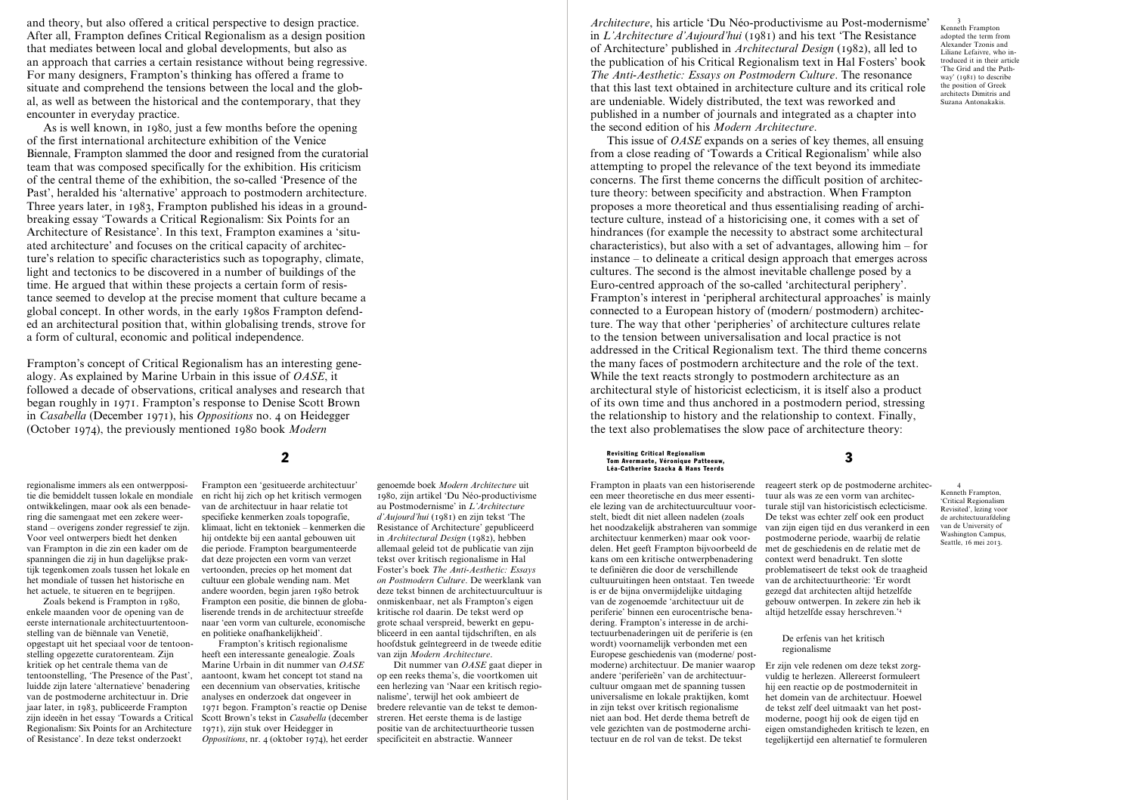and theory, but also offered a critical perspective to design practice. After all, Frampton defines Critical Regionalism as a design position that mediates between local and global developments, but also as an approach that carries a certain resistance without being regressive. For many designers, Frampton's thinking has offered a frame to situate and comprehend the tensions between the local and the global, as well as between the historical and the contemporary, that they encounter in everyday practice.

As is well known, in 1980, just a few months before the opening of the first international architecture exhibition of the Venice Biennale, Frampton slammed the door and resigned from the curatorial team that was composed specifically for the exhibition. His criticism of the central theme of the exhibition, the so-called 'Presence of the Past', heralded his 'alternative' approach to postmodern architecture. Three years later, in 1983, Frampton published his ideas in a groundbreaking essay 'Towards a Critical Regionalism: Six Points for an Architecture of Resistance'. In this text, Frampton examines a 'situated architecture' and focuses on the critical capacity of architecture's relation to specific characteristics such as topography, climate, light and tectonics to be discovered in a number of buildings of the time. He argued that within these projects a certain form of resistance seemed to develop at the precise moment that culture became a global concept. In other words, in the early 1980s Frampton defended an architectural position that, within globalising trends, strove for a form of cultural, economic and political independence.

Frampton's concept of Critical Regionalism has an interesting genealogy. As explained by Marine Urbain in this issue of *OASE*, it followed a decade of observations, critical analyses and research that began roughly in 1971. Frampton's response to Denise Scott Brown in *Casabella* (December 1971), his *Oppositions* no. 4 on Heidegger (October 1974), the previously mentioned 1980 book *Modern* 

regionalisme immers als een ontwerppositie die bemiddelt tussen lokale en mondiale ontwikkelingen, maar ook als een benadering die samengaat met een zekere weerstand – overigens zonder regressief te zijn. Voor veel ontwerpers biedt het denken van Frampton in die zin een kader om de spanningen die zij in hun dagelijkse praktijk tegenkomen zoals tussen het lokale en het mondiale of tussen het historische en het actuele, te situeren en te begrijpen.

Zoals bekend is Frampton in 1980, enkele maanden voor de opening van de eerste internationale architectuurtentoonstelling van de biënnale van Venetië, opgestapt uit het speciaal voor de tentoonstelling opgezette curatorenteam. Zijn kritiek op het centrale thema van de tentoonstelling, 'The Presence of the Past', luidde zijn latere 'alternatieve' benadering van de postmoderne architectuur in. Drie jaar later, in 1983, publiceerde Frampton zijn ideeën in het essay 'Towards a Critical Regionalism: Six Points for an Architecture of Resistance'. In deze tekst onderzoekt

Frampton een 'gesitueerde architectuur' en richt hij zich op het kritisch vermogen van de architectuur in haar relatie tot specifieke kenmerken zoals topografie, klimaat, licht en tektoniek – kenmerken die hij ontdekte bij een aantal gebouwen uit die periode. Frampton beargumenteerde dat deze projecten een vorm van verzet vertoonden, precies op het moment dat cultuur een globale wending nam. Met andere woorden, begin jaren 1980 betrok Frampton een positie, die binnen de globaliserende trends in de architectuur streefde naar 'een vorm van culturele, economische en politieke onafhankelijkheid'.

Frampton's kritisch regionalisme heeft een interessante genealogie. Zoals Marine Urbain in dit nummer van *OASE* aantoont, kwam het concept tot stand na een decennium van observaties, kritische analyses en onderzoek dat ongeveer in 1971 begon. Frampton's reactie op Denise Scott Brown's tekst in *Casabella* (december 1971), zijn stuk over Heidegger in *Oppositions*, nr. 4 (oktober 1974), het eerder

genoemde boek *Modern Architecture* uit 1980, zijn artikel 'Du Néo-productivisme au Postmodernisme' in *L'Architecture d'Aujourd'hui* (1981) en zijn tekst 'The Resistance of Architecture' gepubliceerd in *Architectural Design* (1982), hebben allemaal geleid tot de publicatie van zijn tekst over kritisch regionalisme in Hal Foster's boek *The Anti-Aesthetic: Essays on Postmodern Culture*. De weerklank van deze tekst binnen de architectuurcultuur is onmiskenbaar, net als Frampton's eigen kritische rol daarin. De tekst werd op grote schaal verspreid, bewerkt en gepubliceerd in een aantal tijdschriften, en als hoofdstuk geïntegreerd in de tweede editie van zijn *Modern Architecture*.

Dit nummer van *OASE* gaat dieper in op een reeks thema's, die voortkomen uit een herlezing van 'Naar een kritisch regionalisme', terwijl het ook ambieert de bredere relevantie van de tekst te demonstreren. Het eerste thema is de lastige positie van de architectuurtheorie tussen specificiteit en abstractie. Wanneer

*Architecture*, his article 'Du Néo-productivisme au Post-modernisme' in *L'Architecture d'Aujourd'hui* (1981) and his text 'The Resistance of Architecture' published in *Architectural Design* (1982), all led to the publication of his Critical Regionalism text in Hal Fosters' book *The Anti-Aesthetic: Essays on Postmodern Culture*. The resonance that this last text obtained in architecture culture and its critical role are undeniable. Widely distributed, the text was reworked and published in a number of journals and integrated as a chapter into the second edition of his *Modern Architecture*.

3 Kenneth Frampton adopted the term from Alexander Tzonis and Liliane Lefaivre, who introduced it in their article 'The Grid and the Pathway' (1981) to describe the position of Greek architects Dimitris and Suzana Antonakakis.

This issue of *OASE* expands on a series of key themes, all ensuing from a close reading of 'Towards a Critical Regionalism' while also attempting to propel the relevance of the text beyond its immediate concerns. The first theme concerns the difficult position of architecture theory: between specificity and abstraction. When Frampton proposes a more theoretical and thus essentialising reading of architecture culture, instead of a historicising one, it comes with a set of hindrances (for example the necessity to abstract some architectural characteristics), but also with a set of advantages, allowing him – for instance – to delineate a critical design approach that emerges across cultures. The second is the almost inevitable challenge posed by a Euro-centred approach of the so-called 'architectural periphery'. Frampton's interest in 'peripheral architectural approaches' is mainly connected to a European history of (modern/ postmodern) architecture. The way that other 'peripheries' of architecture cultures relate to the tension between universalisation and local practice is not addressed in the Critical Regionalism text. The third theme concerns the many faces of postmodern architecture and the role of the text. While the text reacts strongly to postmodern architecture as an architectural style of historicist eclecticism, it is itself also a product of its own time and thus anchored in a postmodern period, stressing the relationship to history and the relationship to context. Finally, the text also problematises the slow pace of architecture theory:

2 3 Revisiting Critical Regionalism Tom Avermaete, Véronique Patteeuw, Léa-Catherine Szacka & Hans Teerds

> Frampton in plaats van een historiserende een meer theoretische en dus meer essentiële lezing van de architectuurcultuur voorstelt, biedt dit niet alleen nadelen (zoals het noodzakelijk abstraheren van sommige architectuur kenmerken) maar ook voordelen. Het geeft Frampton bijvoorbeeld de kans om een kritische ontwerpbenadering te definiëren die door de verschillende cultuuruitingen heen ontstaat. Ten tweede is er de bijna onvermijdelijke uitdaging van de zogenoemde 'architectuur uit de periferie' binnen een eurocentrische benadering. Frampton's interesse in de architectuurbenaderingen uit de periferie is (en wordt) voornamelijk verbonden met een Europese geschiedenis van (moderne/ postmoderne) architectuur. De manier waarop andere 'periferieën' van de architectuurcultuur omgaan met de spanning tussen universalisme en lokale praktijken, komt in zijn tekst over kritisch regionalisme niet aan bod. Het derde thema betreft de vele gezichten van de postmoderne architectuur en de rol van de tekst. De tekst gebouw ontwerpen. In zekere zin heb ik altijd hetzelfde essay herschreven.'4

reageert sterk op de postmoderne architectuur als was ze een vorm van architecturale stijl van historicistisch eclecticisme. De tekst was echter zelf ook een product van zijn eigen tijd en dus verankerd in een postmoderne periode, waarbij de relatie met de geschiedenis en de relatie met de context werd benadrukt. Ten slotte problematiseert de tekst ook de traagheid van de architectuurtheorie: 'Er wordt gezegd dat architecten altijd hetzelfde

### De erfenis van het kritisch regionalisme

Er zijn vele redenen om deze tekst zorgvuldig te herlezen. Allereerst formuleert hij een reactie op de postmoderniteit in het domein van de architectuur. Hoewel de tekst zelf deel uitmaakt van het postmoderne, poogt hij ook de eigen tijd en eigen omstandigheden kritisch te lezen, en tegelijkertijd een alternatief te formuleren

4 Kenneth Frampton, 'Critical Regionalism Revisited', lezing voor de architectuurafdeling van de University of Washington Campus, Seattle, 16 mei 2013.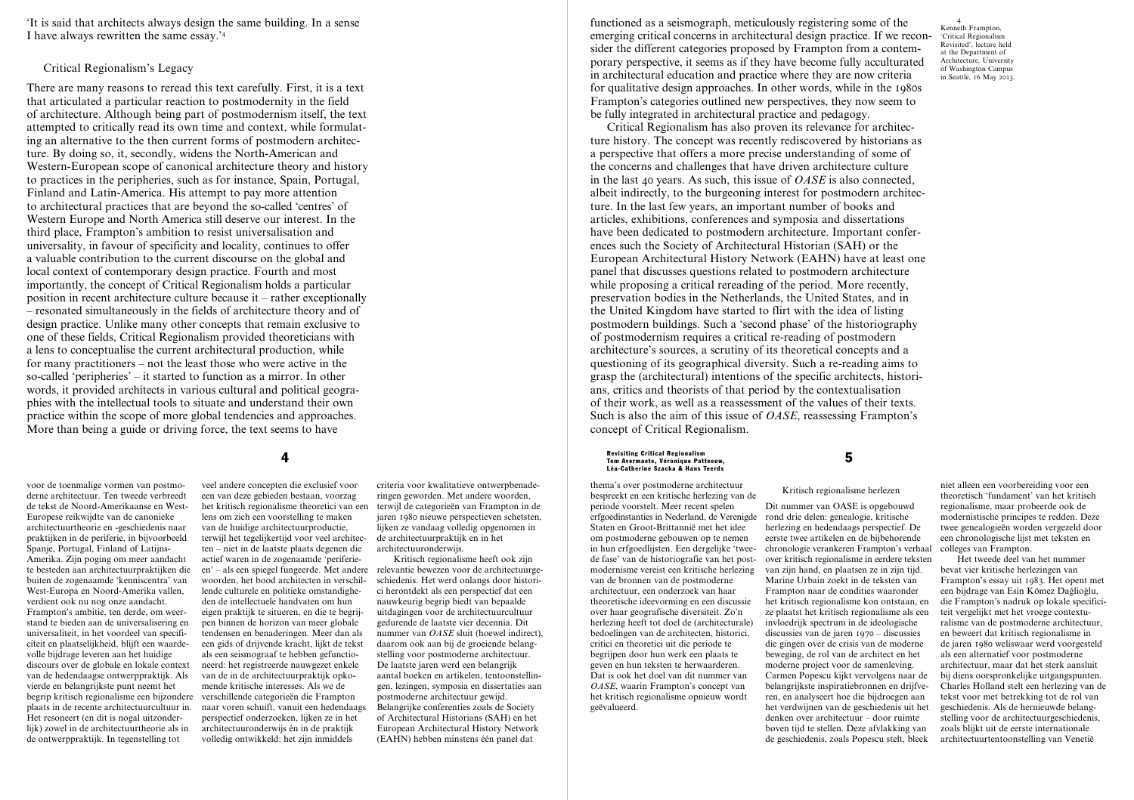'It is said that architects always design the same building. In a sense I have always rewritten the same essay.'4

# Critical Regionalism's Legacy

There are many reasons to reread this text carefully. First, it is a text that articulated a particular reaction to postmodernity in the field of architecture. Although being part of postmodernism itself, the text attempted to critically read its own time and context, while formulating an alternative to the then current forms of postmodern architecture. By doing so, it, secondly, widens the North-American and Western-European scope of canonical architecture theory and history to practices in the peripheries, such as for instance, Spain, Portugal, Finland and Latin-America. His attempt to pay more attention to architectural practices that are beyond the so-called 'centres' of Western Europe and North America still deserve our interest. In the third place, Frampton's ambition to resist universalisation and universality, in favour of specificity and locality, continues to offer a valuable contribution to the current discourse on the global and local context of contemporary design practice. Fourth and most importantly, the concept of Critical Regionalism holds a particular position in recent architecture culture because it – rather exceptionally – resonated simultaneously in the fields of architecture theory and of design practice. Unlike many other concepts that remain exclusive to one of these fields, Critical Regionalism provided theoreticians with a lens to conceptualise the current architectural production, while for many practitioners – not the least those who were active in the so-called 'peripheries' – it started to function as a mirror. In other words, it provided architects in various cultural and political geographies with the intellectual tools to situate and understand their own practice within the scope of more global tendencies and approaches. More than being a guide or driving force, the text seems to have

veel andere concepten die exclusief voor

voor de toenmalige vormen van postmoderne architectuur. Ten tweede verbreedt de tekst de Noord-Amerikaanse en West-Europese reikwijdte van de canonieke architectuurtheorie en -geschiedenis naar praktijken in de periferie, in bijvoorbeeld Spanje, Portugal, Finland of Latijns-Amerika. Zijn poging om meer aandacht te besteden aan architectuurpraktijken die buiten de zogenaamde 'kenniscentra' van West-Europa en Noord-Amerika vallen, verdient ook nu nog onze aandacht. Frampton's ambitie, ten derde, om weerstand te bieden aan de universalisering en universaliteit, in het voordeel van specificiteit en plaatselijkheid, blijft een waardevolle bijdrage leveren aan het huidige discours over de globale en lokale context van de hedendaagse ontwerppraktijk. Als vierde en belangrijkste punt neemt het begrip kritisch regionalisme een bijzondere verschillende categorieën die Frampton plaats in de recente architectuurcultuur in. Het resoneert (en dit is nogal uitzonderlijk) zowel in de architectuurtheorie als in de ontwerppraktijk. In tegenstelling tot

een van deze gebieden bestaan, voorzag het kritisch regionalisme theoretici van een lens om zich een voorstelling te maken van de huidige architectuurproductie, terwijl het tegelijkertijd voor veel architecten – niet in de laatste plaats degenen die actief waren in de zogenaamde 'periferieën' – als een spiegel fungeerde. Met andere woorden, het bood architecten in verschillende culturele en politieke omstandigheden de intellectuele handvaten om hun eigen praktijk te situeren, en die te begrijpen binnen de horizon van meer globale tendensen en benaderingen. Meer dan als een gids of drijvende kracht, lijkt de tekst als een seismograaf te hebben gefunctioneerd: het registreerde nauwgezet enkele van de in de architectuurpraktijk opkomende kritische interesses. Als we de naar voren schuift, vanuit een hedendaags perspectief onderzoeken, lijken ze in het architectuuronderwijs én in de praktijk volledig ontwikkeld: het zijn inmiddels

criteria voor kwalitatieve ontwerpbenaderingen geworden. Met andere woorden, terwijl de categorieën van Frampton in de jaren 1980 nieuwe perspectieven schetsten, lijken ze vandaag volledig opgenomen in de architectuurpraktijk en in het architectuuronderwijs.

Kritisch regionalisme heeft ook zijn relevantie bewezen voor de architectuurgeschiedenis. Het werd onlangs door historici herontdekt als een perspectief dat een nauwkeurig begrip biedt van bepaalde uitdagingen voor de architectuurcultuur gedurende de laatste vier decennia. Dit nummer van *OASE* sluit (hoewel indirect), daarom ook aan bij de groeiende belangstelling voor postmoderne architectuur. De laatste jaren werd een belangrijk aantal boeken en artikelen, tentoonstellingen, lezingen, symposia en dissertaties aan postmoderne architectuur gewijd. Belangrijke conferenties zoals de Society of Architectural Historians (SAH) en het European Architectural History Network (EAHN) hebben minstens één panel dat

functioned as a seismograph, meticulously registering some of the emerging critical concerns in architectural design practice. If we reconsider the different categories proposed by Frampton from a contemporary perspective, it seems as if they have become fully acculturated in architectural education and practice where they are now criteria for qualitative design approaches. In other words, while in the 1980s Frampton's categories outlined new perspectives, they now seem to be fully integrated in architectural practice and pedagogy.

Critical Regionalism has also proven its relevance for architecture history. The concept was recently rediscovered by historians as a perspective that offers a more precise understanding of some of the concerns and challenges that have driven architecture culture in the last 40 years. As such, this issue of *OASE* is also connected, albeit indirectly, to the burgeoning interest for postmodern architecture. In the last few years, an important number of books and articles, exhibitions, conferences and symposia and dissertations have been dedicated to postmodern architecture. Important conferences such the Society of Architectural Historian (SAH) or the European Architectural History Network (EAHN) have at least one panel that discusses questions related to postmodern architecture while proposing a critical rereading of the period. More recently, preservation bodies in the Netherlands, the United States, and in the United Kingdom have started to flirt with the idea of listing postmodern buildings. Such a 'second phase' of the historiography of postmodernism requires a critical re-reading of postmodern architecture's sources, a scrutiny of its theoretical concepts and a questioning of its geographical diversity. Such a re-reading aims to grasp the (architectural) intentions of the specific architects, historians, critics and theorists of that period by the contextualisation of their work, as well as a reassessment of the values of their texts. Such is also the aim of this issue of *OASE*, reassessing Frampton's concept of Critical Regionalism.

4 5 Revisiting Critical Regionalism Tom Avermaete, Véronique Patteeuw, Léa-Catherine Szacka & Hans Teerds

> thema's over postmoderne architectuur bespreekt en een kritische herlezing van de periode voorstelt. Meer recent spelen erfgoedinstanties in Nederland, de Verenigde Staten en Groot-Brittannië met het idee om postmoderne gebouwen op te nemen in hun erfgoedlijsten. Een dergelijke 'tweede fase' van de historiografie van het postmodernisme vereist een kritische herlezing van de bronnen van de postmoderne architectuur, een onderzoek van haar theoretische ideevorming en een discussie over haar geografische diversiteit. Zo'n herlezing heeft tot doel de (architecturale) bedoelingen van de architecten, historici, critici en theoretici uit die periode te begrijpen door hun werk een plaats te geven en hun teksten te herwaarderen. Dat is ook het doel van dit nummer van *OASE*, waarin Frampton's concept van het kritisch regionalisme opnieuw wordt geëvalueerd. Dit nummer van OASE is opgebouwd rond drie delen: genealogie, kritische herlezing en hedendaags perspectief. De eerste twee artikelen en de bijbehorende chronologie verankeren Frampton's verhaal over kritisch regionalisme in eerdere teksten van zijn hand, en plaatsen ze in zijn tijd. Marine Urbain zoekt in de teksten van Frampton naar de condities waaronder het kritisch regionalisme kon ontstaan, en ze plaatst het kritisch regionalisme als een invloedrijk spectrum in de ideologische discussies van de jaren 1970 – discussies die gingen over de crisis van de moderne beweging, de rol van de architect en het moderne project voor de samenleving. Carmen Popescu kijkt vervolgens naar de belangrijkste inspiratiebronnen en drijfveren, en analyseert hoe die bijdroegen aan het verdwijnen van de geschiedenis uit het denken over architectuur – door ruimte

Kritisch regionalisme herlezen

boven tijd te stellen. Deze afvlakking van de geschiedenis, zoals Popescu stelt, bleek

niet alleen een voorbereiding voor een theoretisch 'fundament' van het kritisch regionalisme, maar probeerde ook de modernistische principes te redden. Deze twee genealogieën worden vergezeld door een chronologische lijst met teksten en colleges van Frampton.

Het tweede deel van het nummer bevat vier kritische herlezingen van Frampton's essay uit 1983. Het opent met een bijdrage van Esin Kömez Daǧlioǧlu, die Frampton's nadruk op lokale specificiteit vergelijkt met het vroege contexturalisme van de postmoderne architectuur, en beweert dat kritisch regionalisme in de jaren 1980 weliswaar werd voorgesteld als een alternatief voor postmoderne architectuur, maar dat het sterk aansluit bij diens oorspronkelijke uitgangspunten. Charles Holland stelt een herlezing van de tekst voor met betrekking tot de rol van geschiedenis. Als de hernieuwde belangstelling voor de architectuurgeschiedenis, zoals blijkt uit de eerste internationale architectuurtentoonstelling van Venetië

4 Kenneth Frampton, 'Critical Regionalism Revisited', lecture held at the Department of Architecture, University of Washington Campus in Seattle, 16 May 2013.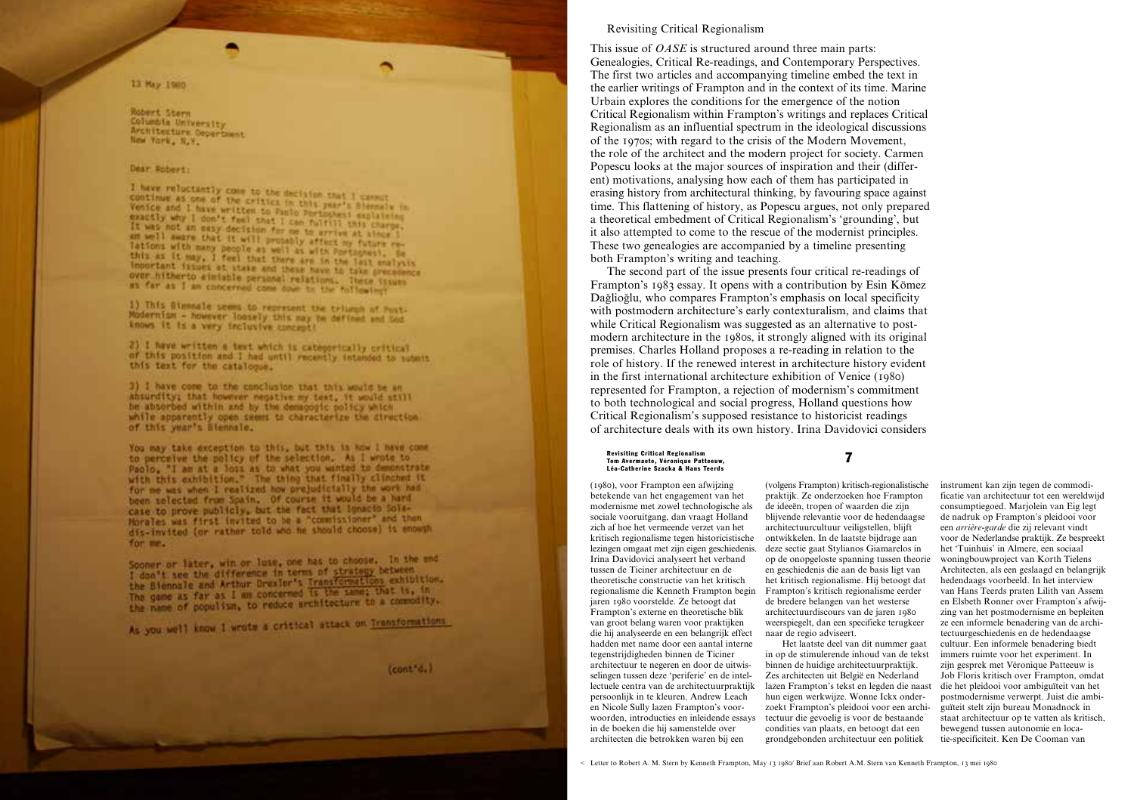# 13 May 1980

Robert Stern Columbia University Architecture Department New York, N.Y.

# Dear Robert:

I have reluctantly come to the decision that I cannot<br>continue as one of the critics in this year's Siemaly in<br>Venice and I have written to find the this year's Siemaly in Venice and I have of the critics in this year's Siernals in<br>exactly why I don't familians to Paulo Portoghesi explaining exactly why I don't feel to Paulo Portughesi axplaining<br>It was not an easy declared I can fulfill this charge. It was not a gon't feel that I can fulfill this charge<br>an well aware that it will for me to arrive at times i am well aware that it will probably affect my future re-<br>Tations with many nevel probably affect my future re-Tations with many people as well as with Portughest. Se this as it may, I feel that there are in the last analysis Important issues at stake and these have to take precedence over hitherto einiste personal relations. These insura as far as I am concerned come down to the following

1) This Blannale seems to represent the triums of Post-Modernism - however loosely this may be defined and bod knows it is a very inclusive concept!

2) I have written a text which is categorically critical of this position and I had until recently intended to submit this text for the catalogue.

3) I have come to the conclusion that this would be an absurdity; that however negative my text, it would still be absorbed within and by the demagogic policy which while apparently open seems to characterize the direction of this year's Blennsle.

You may take exception to this, but this is how I have come to perceive the policy of the selection. As I wrote to Paolo, "I am at a loss as to what you wanted to demonstrate with this exhibition." The thing that finally clinched it for me was when I realized how prejudicially the work had been selected from Spain. Of course it would be a hard case to prove publicly, but the fact that Ignacio Sola-Morales was first invited to be a "commissioner" and then dis-invited (or rather told who he should choose) is enough for me.

Sconer or later, win or luse, one has to choose. In the end Sconer or later, witherence in terms of strategy between<br>I don't see the difference in terms of strategy between<br>the Biennale and Arthur Drexler's Transformations exhibition. the Biennale and Arthur Drexier's the same; that is, in The game as far as 1 mm concerned is the commodity.<br>the name of populism, to reduce architecture to a commodity.

As you well know I wrote a critical attack on Transformations

(cont'd.)

## Revisiting Critical Regionalism

This issue of *OASE* is structured around three main parts: Genealogies, Critical Re-readings, and Contemporary Perspectives. The first two articles and accompanying timeline embed the text in the earlier writings of Frampton and in the context of its time. Marine Urbain explores the conditions for the emergence of the notion Critical Regionalism within Frampton's writings and replaces Critical Regionalism as an influential spectrum in the ideological discussions of the 1970s; with regard to the crisis of the Modern Movement, the role of the architect and the modern project for society. Carmen Popescu looks at the major sources of inspiration and their (different) motivations, analysing how each of them has participated in erasing history from architectural thinking, by favouring space against time. This flattening of history, as Popescu argues, not only prepared a theoretical embedment of Critical Regionalism's 'grounding', but it also attempted to come to the rescue of the modernist principles. These two genealogies are accompanied by a timeline presenting both Frampton's writing and teaching.

The second part of the issue presents four critical re-readings of Frampton's 1983 essay. It opens with a contribution by Esin Kömez Daǧlioǧlu, who compares Frampton's emphasis on local specificity with postmodern architecture's early contexturalism, and claims that while Critical Regionalism was suggested as an alternative to postmodern architecture in the 1980s, it strongly aligned with its original premises. Charles Holland proposes a re-reading in relation to the role of history. If the renewed interest in architecture history evident in the first international architecture exhibition of Venice (1980) represented for Frampton, a rejection of modernism's commitment to both technological and social progress, Holland questions how Critical Regionalism's supposed resistance to historicist readings of architecture deals with its own history. Irina Davidovici considers

7 Revisiting Critical Regionalism Tom Avermaete, Véronique Patteeuw, Léa-Catherine Szacka & Hans Teerds

(1980), voor Frampton een afwijzing betekende van het engagement van het modernisme met zowel technologische als sociale vooruitgang, dan vraagt Holland zich af hoe het vermeende verzet van het kritisch regionalisme tegen historicistische lezingen omgaat met zijn eigen geschiedenis. Irina Davidovici analyseert het verband tussen de Ticiner architectuur en de theoretische constructie van het kritisch regionalisme die Kenneth Frampton begin jaren 1980 voorstelde. Ze betoogt dat Frampton's externe en theoretische blik van groot belang waren voor praktijken die hij analyseerde en een belangrijk effect hadden met name door een aantal interne tegenstrijdigheden binnen de Ticiner architectuur te negeren en door de uitwisselingen tussen deze 'periferie' en de intellectuele centra van de architectuurpraktijk persoonlijk in te kleuren. Andrew Leach en Nicole Sully lazen Frampton's voorwoorden, introducties en inleidende essays in de boeken die hij samenstelde over architecten die betrokken waren bij een

(volgens Frampton) kritisch-regionalistische praktijk. Ze onderzoeken hoe Frampton de ideeën, tropen of waarden die zijn blijvende relevantie voor de hedendaagse architectuurcultuur veiligstellen, blijft ontwikkelen. In de laatste bijdrage aan deze sectie gaat Stylianos Giamarelos in op de onopgeloste spanning tussen theorie en geschiedenis die aan de basis ligt van het kritisch regionalisme. Hij betoogt dat Frampton's kritisch regionalisme eerder de bredere belangen van het westerse architectuurdiscours van de jaren 1980 weerspiegelt, dan een specifieke terugkeer naar de regio adviseert.

Het laatste deel van dit nummer gaat in op de stimulerende inhoud van de tekst binnen de huidige architectuurpraktijk. Zes architecten uit België en Nederland lazen Frampton's tekst en legden die naast hun eigen werkwijze. Wonne Ickx onderzoekt Frampton's pleidooi voor een architectuur die gevoelig is voor de bestaande condities van plaats, en betoogt dat een grondgebonden architectuur een politiek

instrument kan zijn tegen de commodificatie van architectuur tot een wereldwijd consumptiegoed. Marjolein van Eig legt de nadruk op Frampton's pleidooi voor een *arrière-garde* die zij relevant vindt voor de Nederlandse praktijk. Ze bespreekt het 'Tuinhuis' in Almere, een sociaal woningbouwproject van Korth Tielens Architecten, als een geslaagd en belangrijk hedendaags voorbeeld. In het interview van Hans Teerds praten Lilith van Assem en Elsbeth Ronner over Frampton's afwijzing van het postmodernisme en bepleiten ze een informele benadering van de architectuurgeschiedenis en de hedendaagse cultuur. Een informele benadering biedt immers ruimte voor het experiment. In zijn gesprek met Véronique Patteeuw is Job Floris kritisch over Frampton, omdat die het pleidooi voor ambiguïteit van het postmodernisme verwerpt. Juist die ambiguïteit stelt zijn bureau Monadnock in staat architectuur op te vatten als kritisch, bewegend tussen autonomie en locatie-specificiteit. Ken De Cooman van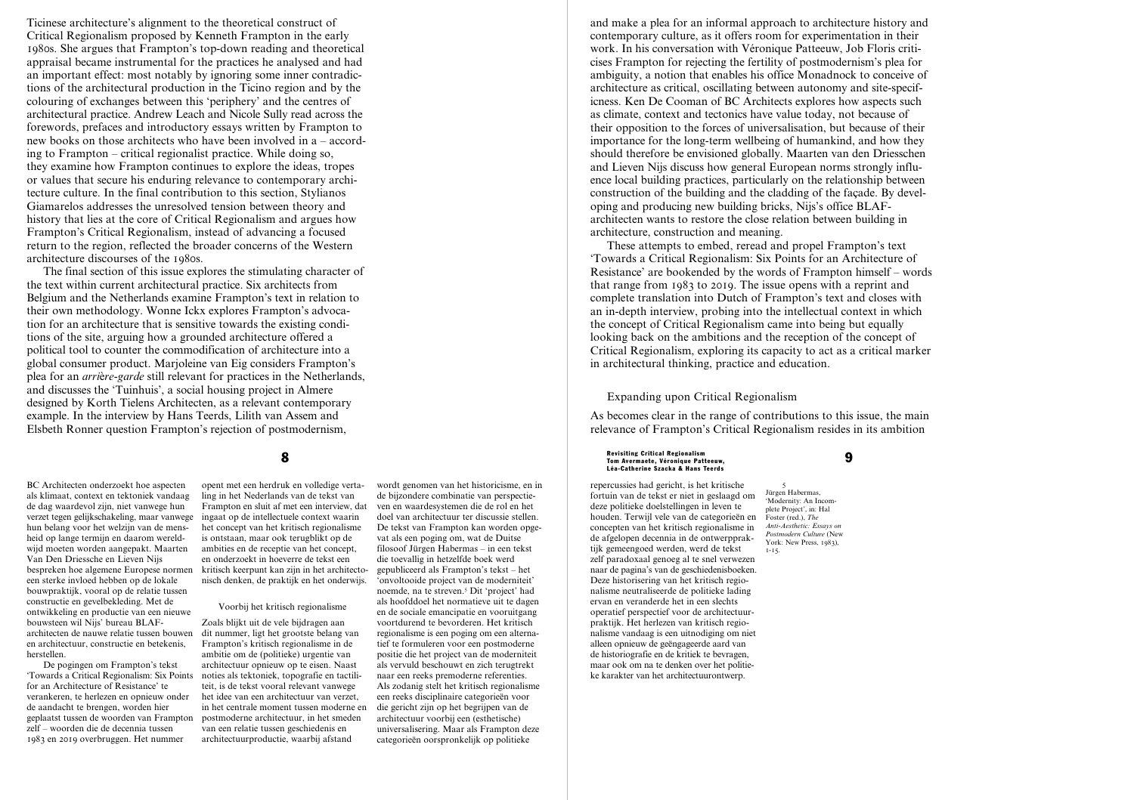Ticinese architecture's alignment to the theoretical construct of Critical Regionalism proposed by Kenneth Frampton in the early 1980s. She argues that Frampton's top-down reading and theoretical appraisal became instrumental for the practices he analysed and had an important effect: most notably by ignoring some inner contradictions of the architectural production in the Ticino region and by the colouring of exchanges between this 'periphery' and the centres of architectural practice. Andrew Leach and Nicole Sully read across the forewords, prefaces and introductory essays written by Frampton to new books on those architects who have been involved in a – according to Frampton – critical regionalist practice. While doing so, they examine how Frampton continues to explore the ideas, tropes or values that secure his enduring relevance to contemporary architecture culture. In the final contribution to this section, Stylianos Giamarelos addresses the unresolved tension between theory and history that lies at the core of Critical Regionalism and argues how Frampton's Critical Regionalism, instead of advancing a focused return to the region, reflected the broader concerns of the Western architecture discourses of the 1980s.

The final section of this issue explores the stimulating character of the text within current architectural practice. Six architects from Belgium and the Netherlands examine Frampton's text in relation to their own methodology. Wonne Ickx explores Frampton's advocation for an architecture that is sensitive towards the existing conditions of the site, arguing how a grounded architecture offered a political tool to counter the commodification of architecture into a global consumer product. Marjoleine van Eig considers Frampton's plea for an *arri*è*re-garde* still relevant for practices in the Netherlands, and discusses the 'Tuinhuis', a social housing project in Almere designed by Korth Tielens Architecten, as a relevant contemporary example. In the interview by Hans Teerds, Lilith van Assem and Elsbeth Ronner question Frampton's rejection of postmodernism,

BC Architecten onderzoekt hoe aspecten als klimaat, context en tektoniek vandaag de dag waardevol zijn, niet vanwege hun verzet tegen gelijkschakeling, maar vanwege hun belang voor het welzijn van de mensheid op lange termijn en daarom wereldwijd moeten worden aangepakt. Maarten Van Den Driessche en Lieven Nijs bespreken hoe algemene Europese normen een sterke invloed hebben op de lokale bouwpraktijk, vooral op de relatie tussen constructie en gevelbekleding. Met de ontwikkeling en productie van een nieuwe bouwsteen wil Nijs' bureau BLAFarchitecten de nauwe relatie tussen bouwen en architectuur, constructie en betekenis, herstellen.

De pogingen om Frampton's tekst 'Towards a Critical Regionalism: Six Points for an Architecture of Resistance' te verankeren, te herlezen en opnieuw onder de aandacht te brengen, worden hier geplaatst tussen de woorden van Frampton postmoderne architectuur, in het smeden zelf – woorden die de decennia tussen 1983 en 2019 overbruggen. Het nummer

opent met een herdruk en volledige vertaling in het Nederlands van de tekst van Frampton en sluit af met een interview, dat ingaat op de intellectuele context waarin het concept van het kritisch regionalisme is ontstaan, maar ook terugblikt op de ambities en de receptie van het concept, en onderzoekt in hoeverre de tekst een kritisch keerpunt kan zijn in het architectonisch denken, de praktijk en het onderwijs.

# Voorbij het kritisch regionalisme

Zoals blijkt uit de vele bijdragen aan dit nummer, ligt het grootste belang van Frampton's kritisch regionalisme in de ambitie om de (politieke) urgentie van architectuur opnieuw op te eisen. Naast noties als tektoniek, topografie en tactiliteit, is de tekst vooral relevant vanwege het idee van een architectuur van verzet, in het centrale moment tussen moderne en van een relatie tussen geschiedenis en architectuurproductie, waarbij afstand

wordt genomen van het historicisme, en in de bijzondere combinatie van perspectieven en waardesystemen die de rol en het doel van architectuur ter discussie stellen. De tekst van Frampton kan worden opgevat als een poging om, wat de Duitse filosoof Jürgen Habermas – in een tekst die toevallig in hetzelfde boek werd gepubliceerd als Frampton's tekst – het 'onvoltooide project van de moderniteit' noemde, na te streven.5 Dit 'project' had als hoofddoel het normatieve uit te dagen en de sociale emancipatie en vooruitgang voortdurend te bevorderen. Het kritisch regionalisme is een poging om een alternatief te formuleren voor een postmoderne positie die het project van de moderniteit als vervuld beschouwt en zich terugtrekt naar een reeks premoderne referenties. Als zodanig stelt het kritisch regionalisme een reeks disciplinaire categorieën voor die gericht zijn op het begrijpen van de architectuur voorbij een (esthetische) universalisering. Maar als Frampton deze categorieën oorspronkelijk op politieke

and make a plea for an informal approach to architecture history and contemporary culture, as it offers room for experimentation in their work. In his conversation with Véronique Patteeuw, Job Floris criticises Frampton for rejecting the fertility of postmodernism's plea for ambiguity, a notion that enables his office Monadnock to conceive of architecture as critical, oscillating between autonomy and site-specificness. Ken De Cooman of BC Architects explores how aspects such as climate, context and tectonics have value today, not because of their opposition to the forces of universalisation, but because of their importance for the long-term wellbeing of humankind, and how they should therefore be envisioned globally. Maarten van den Driesschen and Lieven Nijs discuss how general European norms strongly influence local building practices, particularly on the relationship between construction of the building and the cladding of the façade. By developing and producing new building bricks, Nijs's office BLAFarchitecten wants to restore the close relation between building in architecture, construction and meaning.

These attempts to embed, reread and propel Frampton's text 'Towards a Critical Regionalism: Six Points for an Architecture of Resistance' are bookended by the words of Frampton himself – words that range from 1983 to 2019. The issue opens with a reprint and complete translation into Dutch of Frampton's text and closes with an in-depth interview, probing into the intellectual context in which the concept of Critical Regionalism came into being but equally looking back on the ambitions and the reception of the concept of Critical Regionalism, exploring its capacity to act as a critical marker in architectural thinking, practice and education.

# Expanding upon Critical Regionalism

As becomes clear in the range of contributions to this issue, the main relevance of Frampton's Critical Regionalism resides in its ambition

8 9 Revisiting Critical Regionalism Tom Avermaete, Véronique Patteeuw, Léa-Catherine Szacka & Hans Teerds

> repercussies had gericht, is het kritische fortuin van de tekst er niet in geslaagd om deze politieke doelstellingen in leven te houden. Terwijl vele van de categorieën en concepten van het kritisch regionalisme in de afgelopen decennia in de ontwerppraktijk gemeengoed werden, werd de tekst zelf paradoxaal genoeg al te snel verwezen naar de pagina's van de geschiedenisboeken. Deze historisering van het kritisch regionalisme neutraliseerde de politieke lading ervan en veranderde het in een slechts operatief perspectief voor de architectuurpraktijk. Het herlezen van kritisch regionalisme vandaag is een uitnodiging om niet alleen opnieuw de geëngageerde aard van de historiografie en de kritiek te bevragen, maar ook om na te denken over het politieke karakter van het architectuurontwerp.

5 Jürgen Habermas, 'Modernity: An Incomplete Project', in: Hal Foster (red.), *The Anti-Aesthetic: Essays on Postmodern Culture* (New York: New Press, 1983), 1-15.